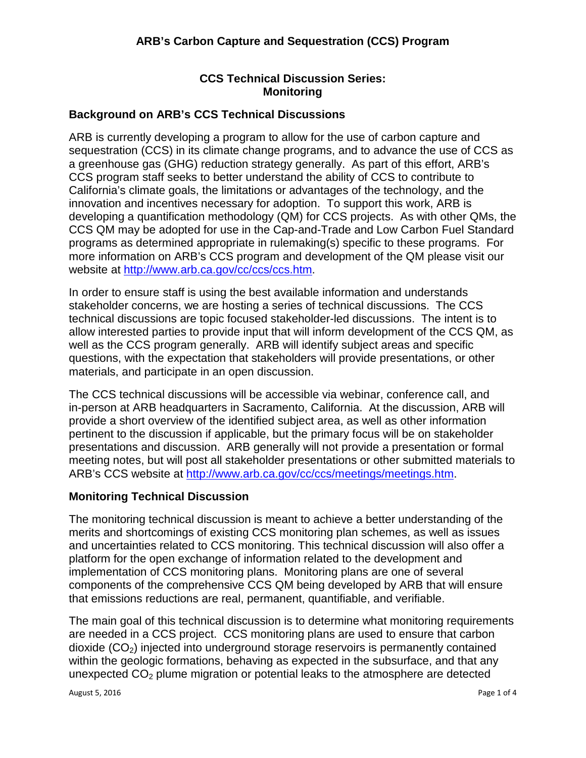# **CCS Technical Discussion Series: Monitoring**

## **Background on ARB's CCS Technical Discussions**

ARB is currently developing a program to allow for the use of carbon capture and sequestration (CCS) in its climate change programs, and to advance the use of CCS as a greenhouse gas (GHG) reduction strategy generally. As part of this effort, ARB's CCS program staff seeks to better understand the ability of CCS to contribute to California's climate goals, the limitations or advantages of the technology, and the innovation and incentives necessary for adoption. To support this work, ARB is developing a quantification methodology (QM) for CCS projects. As with other QMs, the CCS QM may be adopted for use in the Cap-and-Trade and Low Carbon Fuel Standard programs as determined appropriate in rulemaking(s) specific to these programs. For more information on ARB's CCS program and development of the QM please visit our website at [http://www.arb.ca.gov/cc/ccs/ccs.htm.](http://www.arb.ca.gov/cc/ccs/ccs.htm)

In order to ensure staff is using the best available information and understands stakeholder concerns, we are hosting a series of technical discussions. The CCS technical discussions are topic focused stakeholder-led discussions. The intent is to allow interested parties to provide input that will inform development of the CCS QM, as well as the CCS program generally. ARB will identify subject areas and specific questions, with the expectation that stakeholders will provide presentations, or other materials, and participate in an open discussion.

The CCS technical discussions will be accessible via webinar, conference call, and in-person at ARB headquarters in Sacramento, California. At the discussion, ARB will provide a short overview of the identified subject area, as well as other information pertinent to the discussion if applicable, but the primary focus will be on stakeholder presentations and discussion. ARB generally will not provide a presentation or formal meeting notes, but will post all stakeholder presentations or other submitted materials to ARB's CCS website at [http://www.arb.ca.gov/cc/ccs/meetings/meetings.htm.](http://www.arb.ca.gov/cc/ccs/meetings/meetings.htm)

### **Monitoring Technical Discussion**

The monitoring technical discussion is meant to achieve a better understanding of the merits and shortcomings of existing CCS monitoring plan schemes, as well as issues and uncertainties related to CCS monitoring. This technical discussion will also offer a platform for the open exchange of information related to the development and implementation of CCS monitoring plans. Monitoring plans are one of several components of the comprehensive CCS QM being developed by ARB that will ensure that emissions reductions are real, permanent, quantifiable, and verifiable.

The main goal of this technical discussion is to determine what monitoring requirements are needed in a CCS project. CCS monitoring plans are used to ensure that carbon dioxide  $(CO<sub>2</sub>)$  injected into underground storage reservoirs is permanently contained within the geologic formations, behaving as expected in the subsurface, and that any unexpected  $CO<sub>2</sub>$  plume migration or potential leaks to the atmosphere are detected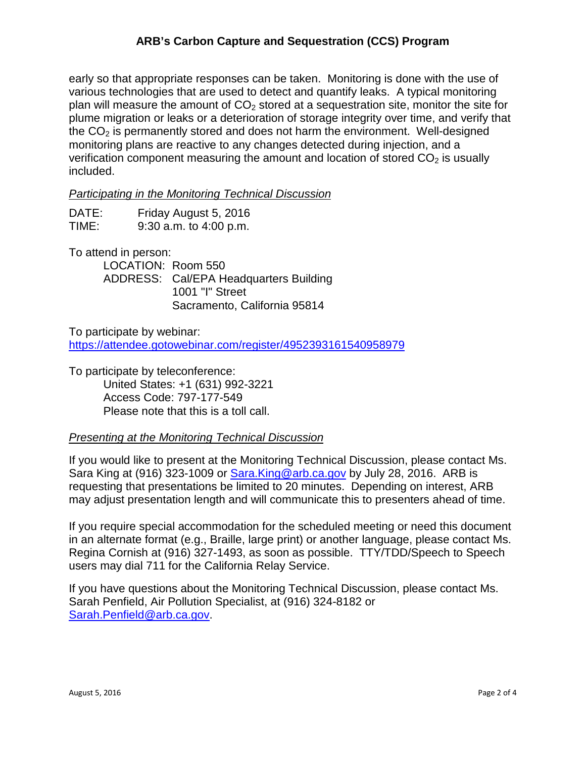## **ARB's Carbon Capture and Sequestration (CCS) Program**

early so that appropriate responses can be taken. Monitoring is done with the use of various technologies that are used to detect and quantify leaks. A typical monitoring plan will measure the amount of  $CO<sub>2</sub>$  stored at a sequestration site, monitor the site for plume migration or leaks or a deterioration of storage integrity over time, and verify that the  $CO<sub>2</sub>$  is permanently stored and does not harm the environment. Well-designed monitoring plans are reactive to any changes detected during injection, and a verification component measuring the amount and location of stored  $CO<sub>2</sub>$  is usually included.

*Participating in the Monitoring Technical Discussion*

| DATE: | Friday August 5, 2016      |
|-------|----------------------------|
| TIME: | $9:30$ a.m. to $4:00$ p.m. |

To attend in person:

LOCATION: Room 550 ADDRESS: Cal/EPA Headquarters Building 1001 "I" Street Sacramento, California 95814

To participate by webinar: <https://attendee.gotowebinar.com/register/4952393161540958979>

To participate by teleconference:

United States: +1 (631) 992-3221 Access Code: 797-177-549 Please note that this is a toll call.

### *Presenting at the Monitoring Technical Discussion*

If you would like to present at the Monitoring Technical Discussion, please contact Ms. Sara King at (916) 323-1009 or Sara. King@arb.ca.gov by July 28, 2016. ARB is requesting that presentations be limited to 20 minutes. Depending on interest, ARB may adjust presentation length and will communicate this to presenters ahead of time.

If you require special accommodation for the scheduled meeting or need this document in an alternate format (e.g., Braille, large print) or another language, please contact Ms. Regina Cornish at (916) 327-1493, as soon as possible. TTY/TDD/Speech to Speech users may dial 711 for the California Relay Service.

If you have questions about the Monitoring Technical Discussion, please contact Ms. Sarah Penfield, Air Pollution Specialist, at (916) 324-8182 or [Sarah.Penfield@arb.ca.gov.](mailto:Sarah.Penfield@arb.ca.gov)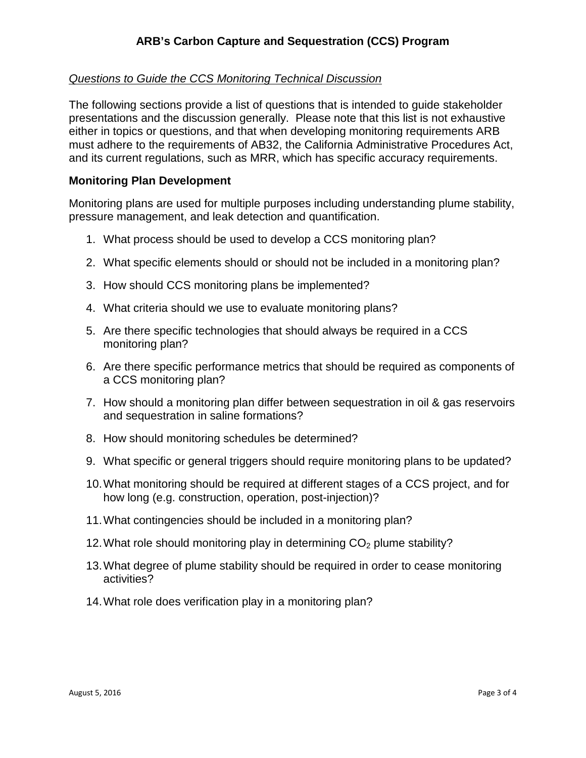### *Questions to Guide the CCS Monitoring Technical Discussion*

The following sections provide a list of questions that is intended to guide stakeholder presentations and the discussion generally. Please note that this list is not exhaustive either in topics or questions, and that when developing monitoring requirements ARB must adhere to the requirements of AB32, the California Administrative Procedures Act, and its current regulations, such as MRR, which has specific accuracy requirements.

### **Monitoring Plan Development**

Monitoring plans are used for multiple purposes including understanding plume stability, pressure management, and leak detection and quantification.

- 1. What process should be used to develop a CCS monitoring plan?
- 2. What specific elements should or should not be included in a monitoring plan?
- 3. How should CCS monitoring plans be implemented?
- 4. What criteria should we use to evaluate monitoring plans?
- 5. Are there specific technologies that should always be required in a CCS monitoring plan?
- 6. Are there specific performance metrics that should be required as components of a CCS monitoring plan?
- 7. How should a monitoring plan differ between sequestration in oil & gas reservoirs and sequestration in saline formations?
- 8. How should monitoring schedules be determined?
- 9. What specific or general triggers should require monitoring plans to be updated?
- 10.What monitoring should be required at different stages of a CCS project, and for how long (e.g. construction, operation, post-injection)?
- 11.What contingencies should be included in a monitoring plan?
- 12. What role should monitoring play in determining  $CO<sub>2</sub>$  plume stability?
- 13.What degree of plume stability should be required in order to cease monitoring activities?
- 14.What role does verification play in a monitoring plan?